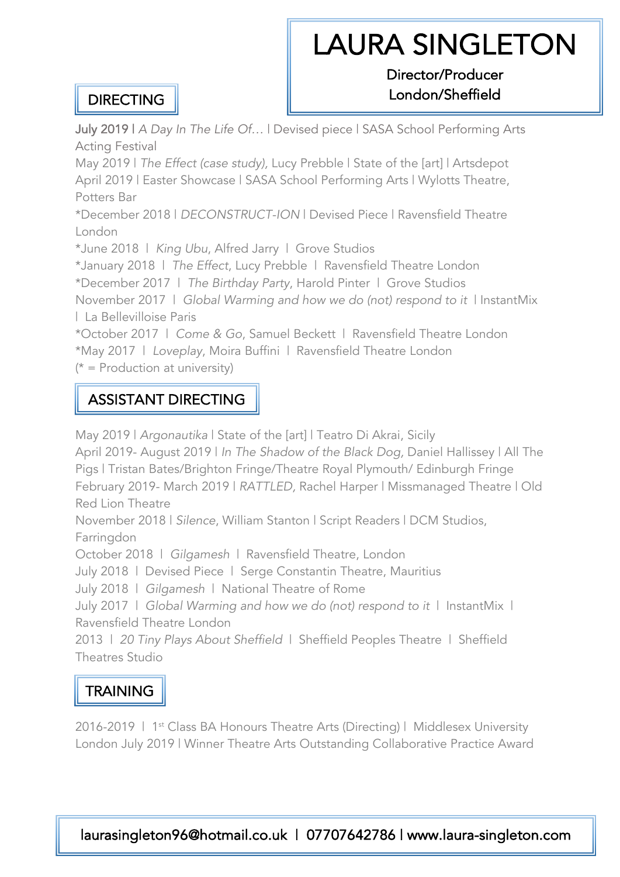# LAURA SINGLETON<br>Director/Producer

#### **DIRECTING**

## London/Sheffield

July 2019 | *A Day In The Life Of…* | Devised piece | SASA School Performing Arts Acting Festival

May 2019 | *The Effect (case study),* Lucy Prebble | State of the [art] | Artsdepot April 2019 | Easter Showcase | SASA School Performing Arts | Wylotts Theatre, Potters Bar

\*December 2018 | *DECONSTRUCT-ION* | Devised Piece | Ravensfield Theatre London

\*June 2018 | *King Ubu*, Alfred Jarry | Grove Studios

\*January 2018 | *The Effect*, Lucy Prebble | Ravensfield Theatre London

\*December 2017 | *The Birthday Party*, Harold Pinter | Grove Studios

November 2017 | *Global Warming and how we do (not) respond to it* | InstantMix | La Bellevilloise Paris

\*October 2017 | *Come & Go*, Samuel Beckett | Ravensfield Theatre London \*May 2017 | *Loveplay*, Moira Buffini | Ravensfield Theatre London

 $(* =$  Production at university)

#### ASSISTANT DIRECTING

May 2019 | *Argonautika* | State of the [art] | Teatro Di Akrai, Sicily

April 2019- August 2019 | *In The Shadow of the Black Dog,* Daniel Hallissey | All The Pigs | Tristan Bates/Brighton Fringe/Theatre Royal Plymouth/ Edinburgh Fringe February 2019- March 2019 | *RATTLED,* Rachel Harper | Missmanaged Theatre | Old Red Lion Theatre

November 2018 | *Silence*, William Stanton | Script Readers | DCM Studios, Farringdon

October 2018 | *Gilgamesh* | Ravensfield Theatre, London

July 2018 | Devised Piece | Serge Constantin Theatre, Mauritius

July 2018 | *Gilgamesh* | National Theatre of Rome

July 2017 | *Global Warming and how we do (not) respond to it* | InstantMix | Ravensfield Theatre London

2013 | *20 Tiny Plays About Sheffield* | Sheffield Peoples Theatre | Sheffield Theatres Studio

### **TRAINING**

2016-2019 | 1<sup>st</sup> Class BA Honours Theatre Arts (Directing) | Middlesex University London July 2019 | Winner Theatre Arts Outstanding Collaborative Practice Award

laurasingleton96@hotmail.co.uk | 07707642786 | www.laura-singleton.com